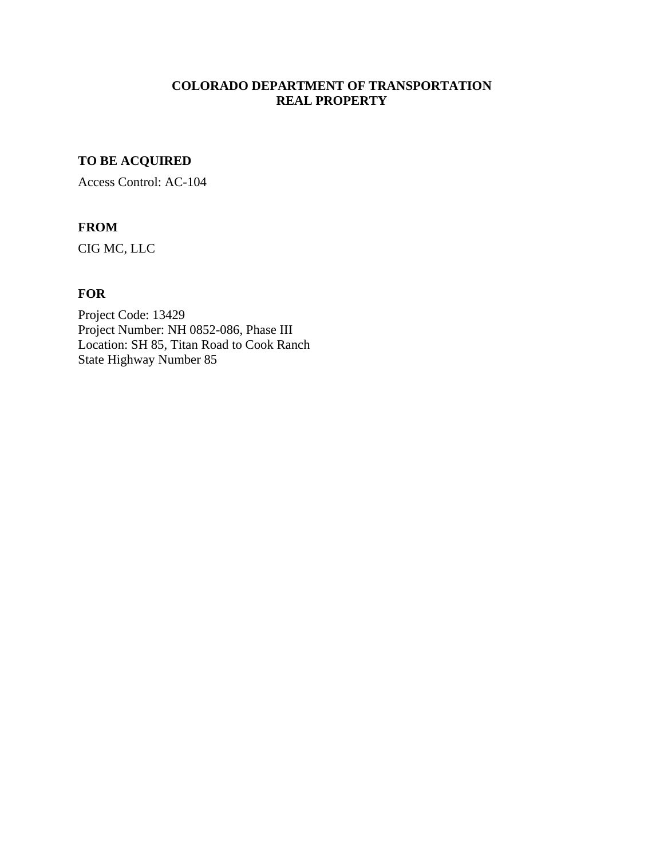# **COLORADO DEPARTMENT OF TRANSPORTATION REAL PROPERTY**

# **TO BE ACQUIRED**

Access Control: AC-104

## **FROM**

CIG MC, LLC

### **FOR**

Project Code: 13429 Project Number: NH 0852-086, Phase III Location: SH 85, Titan Road to Cook Ranch State Highway Number 85